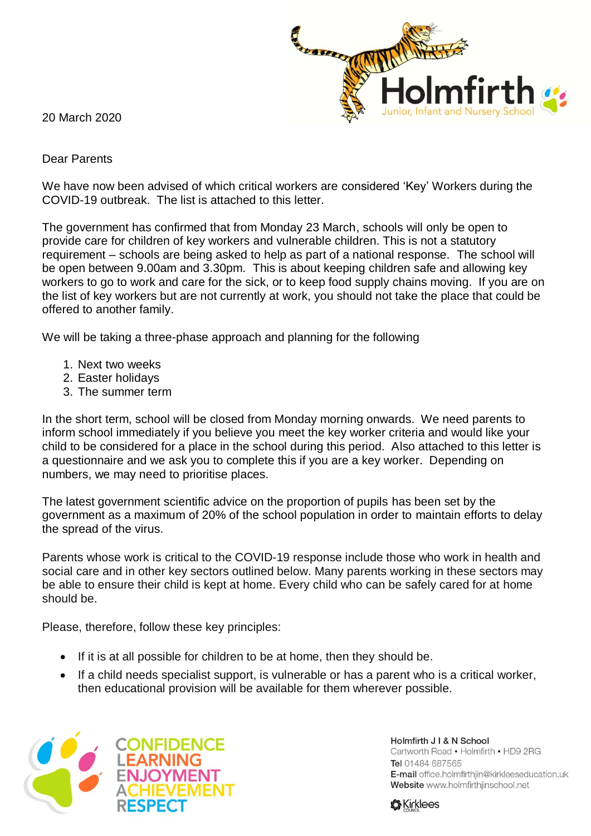

20 March 2020

## Dear Parents

We have now been advised of which critical workers are considered 'Key' Workers during the COVID-19 outbreak. The list is attached to this letter.

The government has confirmed that from Monday 23 March, schools will only be open to provide care for children of key workers and vulnerable children. This is not a statutory requirement – schools are being asked to help as part of a national response. The school will be open between 9.00am and 3.30pm. This is about keeping children safe and allowing key workers to go to work and care for the sick, or to keep food supply chains moving. If you are on the list of key workers but are not currently at work, you should not take the place that could be offered to another family.

We will be taking a three-phase approach and planning for the following

- 1. Next two weeks
- 2. Easter holidays
- 3. The summer term

In the short term, school will be closed from Monday morning onwards. We need parents to inform school immediately if you believe you meet the key worker criteria and would like your child to be considered for a place in the school during this period. Also attached to this letter is a questionnaire and we ask you to complete this if you are a key worker. Depending on numbers, we may need to prioritise places.

The latest government scientific advice on the proportion of pupils has been set by the government as a maximum of 20% of the school population in order to maintain efforts to delay the spread of the virus.

Parents whose work is critical to the COVID-19 response include those who work in health and social care and in other key sectors outlined below. Many parents working in these sectors may be able to ensure their child is kept at home. Every child who can be safely cared for at home should be.

Please, therefore, follow these key principles:

- If it is at all possible for children to be at home, then they should be.
- If a child needs specialist support, is vulnerable or has a parent who is a critical worker, then educational provision will be available for them wherever possible.



Holmfirth J I & N School Cartworth Road . Holmfirth . HD9 2RG Tel 01484 687565 E-mail office.holmfirthjin@kirkleeseducation.uk Website www.holmfirthjinschool.net